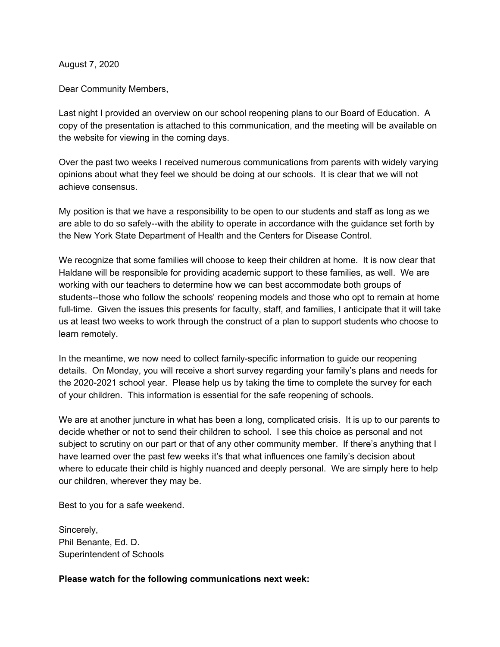August 7, 2020

Dear Community Members,

Last night I provided an overview on our school reopening plans to our Board of Education. A copy of the presentation is attached to this communication, and the meeting will be available on the website for viewing in the coming days.

Over the past two weeks I received numerous communications from parents with widely varying opinions about what they feel we should be doing at our schools. It is clear that we will not achieve consensus.

My position is that we have a responsibility to be open to our students and staff as long as we are able to do so safely--with the ability to operate in accordance with the guidance set forth by the New York State Department of Health and the Centers for Disease Control.

We recognize that some families will choose to keep their children at home. It is now clear that Haldane will be responsible for providing academic support to these families, as well. We are working with our teachers to determine how we can best accommodate both groups of students--those who follow the schools' reopening models and those who opt to remain at home full-time. Given the issues this presents for faculty, staff, and families, I anticipate that it will take us at least two weeks to work through the construct of a plan to support students who choose to learn remotely.

In the meantime, we now need to collect family-specific information to guide our reopening details. On Monday, you will receive a short survey regarding your family's plans and needs for the 2020-2021 school year. Please help us by taking the time to complete the survey for each of your children. This information is essential for the safe reopening of schools.

We are at another juncture in what has been a long, complicated crisis. It is up to our parents to decide whether or not to send their children to school. I see this choice as personal and not subject to scrutiny on our part or that of any other community member. If there's anything that I have learned over the past few weeks it's that what influences one family's decision about where to educate their child is highly nuanced and deeply personal. We are simply here to help our children, wherever they may be.

Best to you for a safe weekend.

Sincerely, Phil Benante, Ed. D. Superintendent of Schools

**Please watch for the following communications next week:**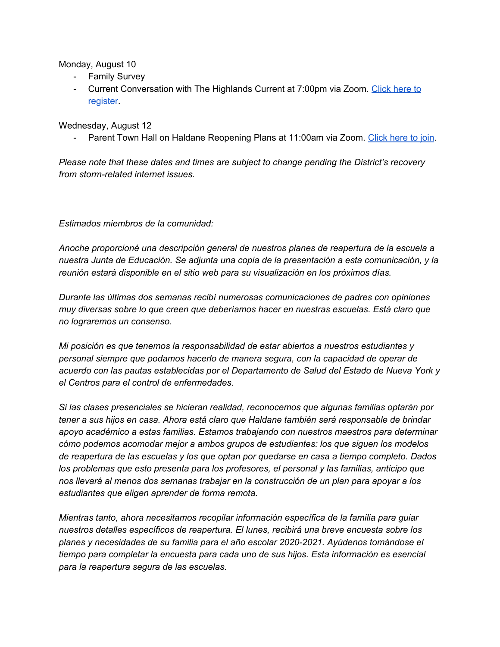## Monday, August 10

- Family Survey
- Current Conversation with The Highlands Current at 7:00pm via Zoom. [Click](https://us02web.zoom.us/webinar/register/WN_fgBfO7NpTrGpKcm6Od4ffA?utm_source=Main+List&utm_campaign=d6b691c111-CURRENT_CONSERVATION_AUG_2_COPY_01&utm_medium=email&utm_term=0_ea0c943479-d6b691c111-232695985) here to [register.](https://us02web.zoom.us/webinar/register/WN_fgBfO7NpTrGpKcm6Od4ffA?utm_source=Main+List&utm_campaign=d6b691c111-CURRENT_CONSERVATION_AUG_2_COPY_01&utm_medium=email&utm_term=0_ea0c943479-d6b691c111-232695985)

Wednesday, August 12

Parent Town Hall on Haldane Reopening Plans at 11:00am via Zoom. [Click](https://us02web.zoom.us/w/82534995892?tk=vJI25V46cWiha5dnBriGP0Q254FvvYRnM14EFsYqiUA.DQIAAAATN3gXtBZJWjhySXBBUlNoQzdlckhSRlp0d29RAAAAAAAAAAAAAAAAAAAAAAAAAAAA&uuid=WN_3I3qv3yzS56RI-zACCIYww) here to join.

*Please note that these dates and times are subject to change pending the District's recovery from storm-related internet issues.*

## *Estimados miembros de la comunidad:*

*Anoche proporcioné una descripción general de nuestros planes de reapertura de la escuela a nuestra Junta de Educación. Se adjunta una copia de la presentación a esta comunicación, y la reunión estará disponible en el sitio web para su visualización en los próximos días.*

*Durante las últimas dos semanas recibí numerosas comunicaciones de padres con opiniones muy diversas sobre lo que creen que deberíamos hacer en nuestras escuelas. Está claro que no lograremos un consenso.*

*Mi posición es que tenemos la responsabilidad de estar abiertos a nuestros estudiantes y personal siempre que podamos hacerlo de manera segura, con la capacidad de operar de acuerdo con las pautas establecidas por el Departamento de Salud del Estado de Nueva York y el Centros para el control de enfermedades.*

*Si las clases presenciales se hicieran realidad, reconocemos que algunas familias optarán por tener a sus hijos en casa. Ahora está claro que Haldane también será responsable de brindar apoyo académico a estas familias. Estamos trabajando con nuestros maestros para determinar cómo podemos acomodar mejor a ambos grupos de estudiantes: los que siguen los modelos de reapertura de las escuelas y los que optan por quedarse en casa a tiempo completo. Dados los problemas que esto presenta para los profesores, el personal y las familias, anticipo que nos llevará al menos dos semanas trabajar en la construcción de un plan para apoyar a los estudiantes que eligen aprender de forma remota.*

*Mientras tanto, ahora necesitamos recopilar información específica de la familia para guiar nuestros detalles específicos de reapertura. El lunes, recibirá una breve encuesta sobre los planes y necesidades de su familia para el año escolar 2020-2021. Ayúdenos tomándose el tiempo para completar la encuesta para cada uno de sus hijos. Esta información es esencial para la reapertura segura de las escuelas.*